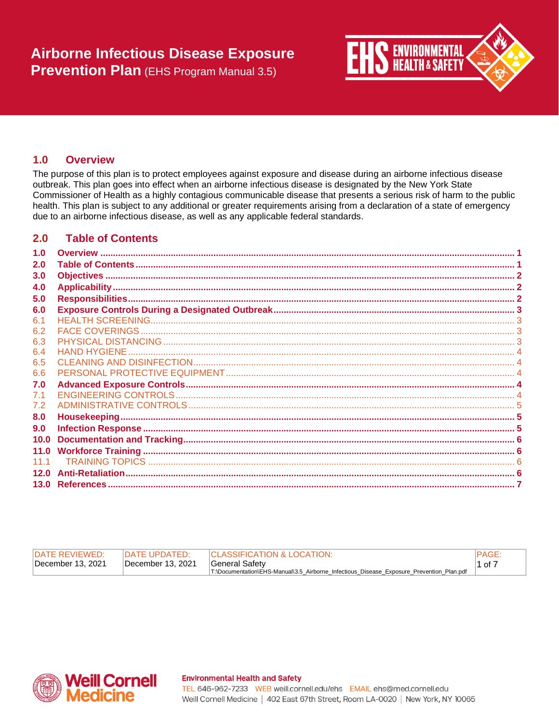

#### <span id="page-0-0"></span> $1.0$ **Overview**

The purpose of this plan is to protect employees against exposure and disease during an airborne infectious disease outbreak. This plan goes into effect when an airborne infectious disease is designated by the New York State Commissioner of Health as a highly contagious communicable disease that presents a serious risk of harm to the public health. This plan is subject to any additional or greater requirements arising from a declaration of a state of emergency due to an airborne infectious disease, as well as any applicable federal standards.

#### <span id="page-0-1"></span> $2.0$ **Table of Contents**

| 1.0  |  |
|------|--|
| 2.0  |  |
| 3.0  |  |
| 4.0  |  |
| 5.0  |  |
| 6.0  |  |
| 6.1  |  |
| 6.2  |  |
| 6.3  |  |
| 6.4  |  |
| 6.5  |  |
| 6.6  |  |
| 7.0  |  |
| 7.1  |  |
| 7.2  |  |
| 8.0  |  |
| 9.0  |  |
| 10.0 |  |
| 11.0 |  |
| 1111 |  |
| 12.0 |  |
|      |  |

| <b>IDATE REVIEWED:</b> | <b>IDATE UPDATED:</b> | <b>ICLASSIFICATION &amp; LOCATION:</b>                                                   | <b>IPAGE</b> |
|------------------------|-----------------------|------------------------------------------------------------------------------------------|--------------|
| December 13, 2021      | December 13, 2021     | <b>General Safety</b>                                                                    | $11$ of $7$  |
|                        |                       | T:\Documentation\EHS-Manual\3.5 Airborne Infectious Disease Exposure Prevention Plan.pdf |              |



## **Environmental Health and Safety**

TEL 646-962-7233 WEB weill.cornell.edu/ehs EMAIL ehs@med.cornell.edu Weill Cornell Medicine | 402 East 67th Street, Room LA-0020 | New York, NY 10065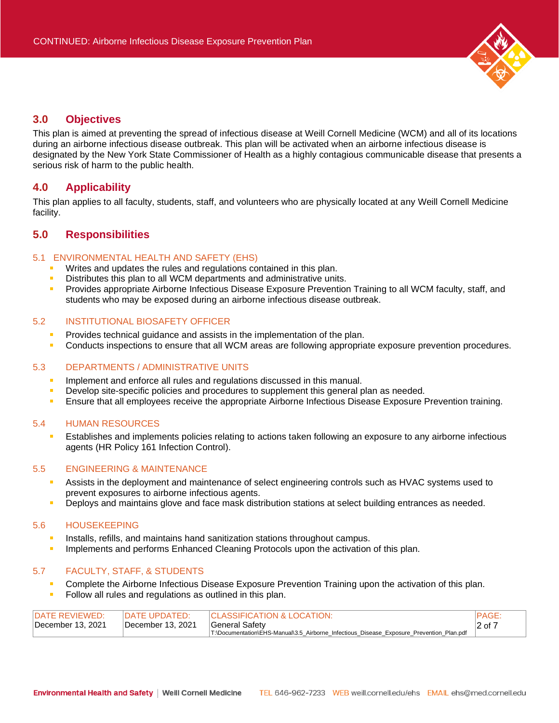

# <span id="page-1-0"></span>**3.0 Objectives**

This plan is aimed at preventing the spread of infectious disease at Weill Cornell Medicine (WCM) and all of its locations during an airborne infectious disease outbreak. This plan will be activated when an airborne infectious disease is designated by the New York State Commissioner of Health as a highly contagious communicable disease that presents a serious risk of harm to the public health.

# <span id="page-1-1"></span>**4.0 Applicability**

This plan applies to all faculty, students, staff, and volunteers who are physically located at any Weill Cornell Medicine facility.

# <span id="page-1-2"></span>**5.0 Responsibilities**

## 5.1 ENVIRONMENTAL HEALTH AND SAFETY (EHS)

- Writes and updates the rules and regulations contained in this plan.
- Distributes this plan to all WCM departments and administrative units.  $\mathbf{u}$
- Provides appropriate Airborne Infectious Disease Exposure Prevention Training to all WCM faculty, staff, and  $\blacksquare$ students who may be exposed during an airborne infectious disease outbreak.

### 5.2 INSTITUTIONAL BIOSAFETY OFFICER

- $\mathbf{r}$ Provides technical guidance and assists in the implementation of the plan.
- Conducts inspections to ensure that all WCM areas are following appropriate exposure prevention procedures.

### 5.3 DEPARTMENTS / ADMINISTRATIVE UNITS

- $\mathbf{r}$ Implement and enforce all rules and regulations discussed in this manual.
- Develop site-specific policies and procedures to supplement this general plan as needed.
- × Ensure that all employees receive the appropriate Airborne Infectious Disease Exposure Prevention training.

### 5.4 HUMAN RESOURCES

Establishes and implements policies relating to actions taken following an exposure to any airborne infectious agents (HR Policy 161 Infection Control).

### 5.5 ENGINEERING & MAINTENANCE

- Assists in the deployment and maintenance of select engineering controls such as HVAC systems used to prevent exposures to airborne infectious agents.
- Deploys and maintains glove and face mask distribution stations at select building entrances as needed.

### 5.6 HOUSEKEEPING

- Installs, refills, and maintains hand sanitization stations throughout campus.  $\mathbf{r}$
- Implements and performs Enhanced Cleaning Protocols upon the activation of this plan. ш

### 5.7 FACULTY, STAFF, & STUDENTS

- Complete the Airborne Infectious Disease Exposure Prevention Training upon the activation of this plan.
- Follow all rules and regulations as outlined in this plan.

| IDATE REVIEWED:   | <b>IDATE UPDATED:</b> | <b>ICLASSIFICATION &amp; LOCATION:</b>                                                   | <b>IPAGE</b> |
|-------------------|-----------------------|------------------------------------------------------------------------------------------|--------------|
| December 13, 2021 | December 13, 2021     | ∣General Safetv                                                                          | $ 2$ of 7    |
|                   |                       | T:\Documentation\EHS-Manual\3.5_Airborne_Infectious_Disease_Exposure_Prevention_Plan.pdf |              |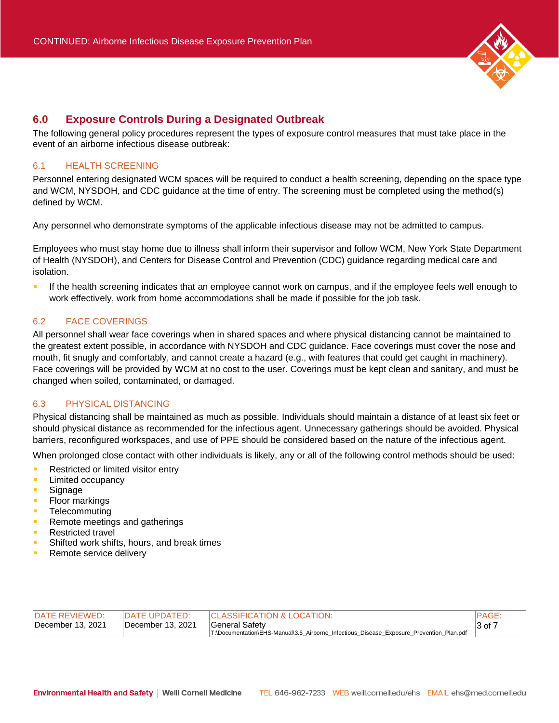

# <span id="page-2-0"></span>**6.0 Exposure Controls During a Designated Outbreak**

The following general policy procedures represent the types of exposure control measures that must take place in the event of an airborne infectious disease outbreak:

## <span id="page-2-1"></span>6.1 HEALTH SCREENING

Personnel entering designated WCM spaces will be required to conduct a health screening, depending on the space type and WCM, NYSDOH, and CDC guidance at the time of entry. The screening must be completed using the method(s) defined by WCM.

Any personnel who demonstrate symptoms of the applicable infectious disease may not be admitted to campus.

Employees who must stay home due to illness shall inform their supervisor and follow WCM, New York State Department of Health (NYSDOH), and Centers for Disease Control and Prevention (CDC) guidance regarding medical care and isolation.

ú. If the health screening indicates that an employee cannot work on campus, and if the employee feels well enough to work effectively, work from home accommodations shall be made if possible for the job task.

## <span id="page-2-2"></span>6.2 FACE COVERINGS

All personnel shall wear face coverings when in shared spaces and where physical distancing cannot be maintained to the greatest extent possible, in accordance with NYSDOH and CDC guidance. Face coverings must cover the nose and mouth, fit snugly and comfortably, and cannot create a hazard (e.g., with features that could get caught in machinery). Face coverings will be provided by WCM at no cost to the user. Coverings must be kept clean and sanitary, and must be changed when soiled, contaminated, or damaged.

# <span id="page-2-3"></span>6.3 PHYSICAL DISTANCING

Physical distancing shall be maintained as much as possible. Individuals should maintain a distance of at least six feet or should physical distance as recommended for the infectious agent. Unnecessary gatherings should be avoided. Physical barriers, reconfigured workspaces, and use of PPE should be considered based on the nature of the infectious agent.

When prolonged close contact with other individuals is likely, any or all of the following control methods should be used:

- ä, Restricted or limited visitor entry
- Ű, Limited occupancy
- ú. Signage
- ×. Floor markings
- **Telecommuting**
- Remote meetings and gatherings
- ٠ Restricted travel
- Shifted work shifts, hours, and break times
- m. Remote service delivery

| IDATE REVIEWED:   | <b>IDATE UPDATED:</b> | <b>ICLASSIFICATION &amp; LOCATION:</b>                                                   | <b>PAGE</b>  |
|-------------------|-----------------------|------------------------------------------------------------------------------------------|--------------|
| December 13, 2021 | December 13, 2021     | General Safetv                                                                           | $ 3$ of $ 7$ |
|                   |                       | T:\Documentation\EHS-Manual\3.5 Airborne Infectious Disease Exposure Prevention Plan.pdf |              |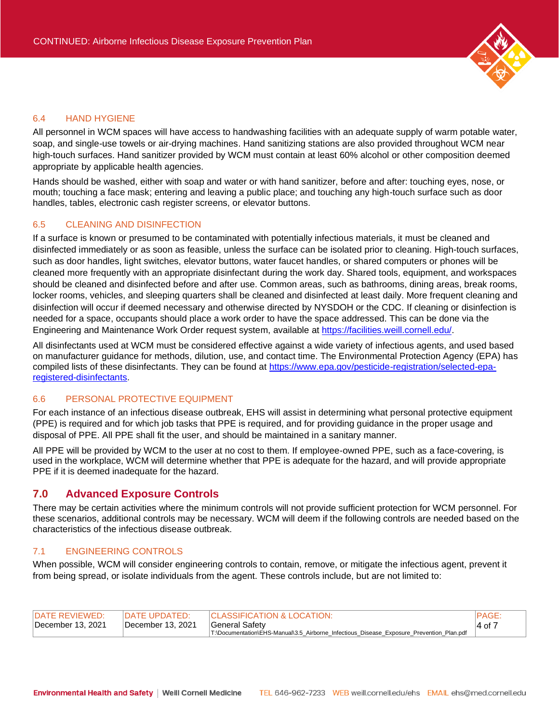

#### <span id="page-3-0"></span>6.4 HAND HYGIENE

All personnel in WCM spaces will have access to handwashing facilities with an adequate supply of warm potable water, soap, and single-use towels or air-drying machines. Hand sanitizing stations are also provided throughout WCM near high-touch surfaces. Hand sanitizer provided by WCM must contain at least 60% alcohol or other composition deemed appropriate by applicable health agencies.

Hands should be washed, either with soap and water or with hand sanitizer, before and after: touching eyes, nose, or mouth; touching a face mask; entering and leaving a public place; and touching any high-touch surface such as door handles, tables, electronic cash register screens, or elevator buttons.

### <span id="page-3-1"></span>6.5 CLEANING AND DISINFECTION

If a surface is known or presumed to be contaminated with potentially infectious materials, it must be cleaned and disinfected immediately or as soon as feasible, unless the surface can be isolated prior to cleaning. High-touch surfaces, such as door handles, light switches, elevator buttons, water faucet handles, or shared computers or phones will be cleaned more frequently with an appropriate disinfectant during the work day. Shared tools, equipment, and workspaces should be cleaned and disinfected before and after use. Common areas, such as bathrooms, dining areas, break rooms, locker rooms, vehicles, and sleeping quarters shall be cleaned and disinfected at least daily. More frequent cleaning and disinfection will occur if deemed necessary and otherwise directed by NYSDOH or the CDC. If cleaning or disinfection is needed for a space, occupants should place a work order to have the space addressed. This can be done via the Engineering and Maintenance Work Order request system, available at [https://facilities.weill.cornell.edu/.](https://facilities.weill.cornell.edu/)

All disinfectants used at WCM must be considered effective against a wide variety of infectious agents, and used based on manufacturer guidance for methods, dilution, use, and contact time. The Environmental Protection Agency (EPA) has compiled lists of these disinfectants. They can be found at [https://www.epa.gov/pesticide-registration/selected-epa](https://www.epa.gov/pesticide-registration/selected-epa-registered-disinfectants)[registered-disinfectants.](https://www.epa.gov/pesticide-registration/selected-epa-registered-disinfectants)

## <span id="page-3-2"></span>6.6 PERSONAL PROTECTIVE EQUIPMENT

For each instance of an infectious disease outbreak, EHS will assist in determining what personal protective equipment (PPE) is required and for which job tasks that PPE is required, and for providing guidance in the proper usage and disposal of PPE. All PPE shall fit the user, and should be maintained in a sanitary manner.

All PPE will be provided by WCM to the user at no cost to them. If employee-owned PPE, such as a face-covering, is used in the workplace, WCM will determine whether that PPE is adequate for the hazard, and will provide appropriate PPE if it is deemed inadequate for the hazard.

### <span id="page-3-3"></span>**7.0 Advanced Exposure Controls**

There may be certain activities where the minimum controls will not provide sufficient protection for WCM personnel. For these scenarios, additional controls may be necessary. WCM will deem if the following controls are needed based on the characteristics of the infectious disease outbreak.

### <span id="page-3-4"></span>7.1 ENGINEERING CONTROLS

When possible, WCM will consider engineering controls to contain, remove, or mitigate the infectious agent, prevent it from being spread, or isolate individuals from the agent. These controls include, but are not limited to:

| <b>IDATE REVIEWED:</b> | <b>IDATE UPDATED:</b> | <b>ICLASSIFICATION &amp; LOCATION:</b>                                                   | IPAGE.      |
|------------------------|-----------------------|------------------------------------------------------------------------------------------|-------------|
| December 13, 2021      | December 13, 2021     | General Safety                                                                           | $ 4$ of $7$ |
|                        |                       | T:\Documentation\EHS-Manual\3.5 Airborne Infectious Disease Exposure Prevention Plan.pdf |             |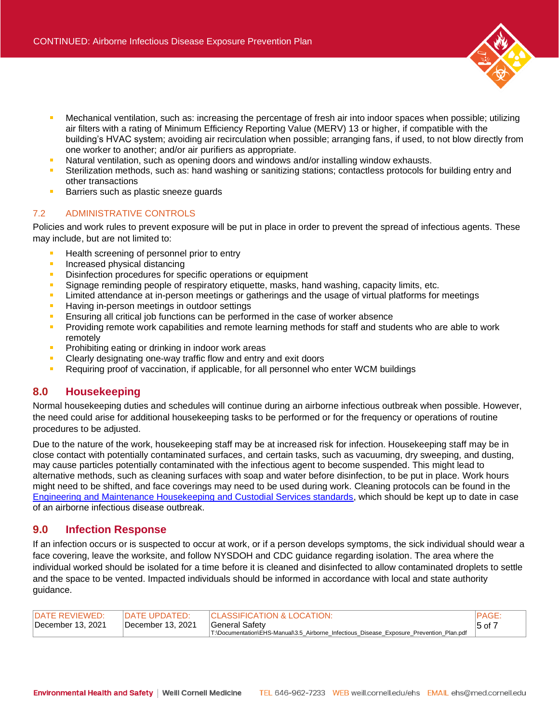- Mechanical ventilation, such as: increasing the percentage of fresh air into indoor spaces when possible; utilizing air filters with a rating of Minimum Efficiency Reporting Value (MERV) 13 or higher, if compatible with the building's HVAC system; avoiding air recirculation when possible; arranging fans, if used, to not blow directly from one worker to another; and/or air purifiers as appropriate.
- Natural ventilation, such as opening doors and windows and/or installing window exhausts.
- Sterilization methods, such as: hand washing or sanitizing stations; contactless protocols for building entry and other transactions
- Barriers such as plastic sneeze guards

## <span id="page-4-0"></span>7.2 ADMINISTRATIVE CONTROLS

Policies and work rules to prevent exposure will be put in place in order to prevent the spread of infectious agents. These may include, but are not limited to:

- Health screening of personnel prior to entry
- $\mathbf{r}$ Increased physical distancing
- Disinfection procedures for specific operations or equipment  $\mathbf{r}$
- Signage reminding people of respiratory etiquette, masks, hand washing, capacity limits, etc.
- Limited attendance at in-person meetings or gatherings and the usage of virtual platforms for meetings  $\mathbf{r}$
- Having in-person meetings in outdoor settings ٠
- Ensuring all critical job functions can be performed in the case of worker absence
- Providing remote work capabilities and remote learning methods for staff and students who are able to work  $\blacksquare$ remotely
- $\mathbf{r}$ Prohibiting eating or drinking in indoor work areas
- Clearly designating one-way traffic flow and entry and exit doors  $\blacksquare$
- Requiring proof of vaccination, if applicable, for all personnel who enter WCM buildings ٠

## <span id="page-4-1"></span>**8.0 Housekeeping**

Normal housekeeping duties and schedules will continue during an airborne infectious outbreak when possible. However, the need could arise for additional housekeeping tasks to be performed or for the frequency or operations of routine procedures to be adjusted.

Due to the nature of the work, housekeeping staff may be at increased risk for infection. Housekeeping staff may be in close contact with potentially contaminated surfaces, and certain tasks, such as vacuuming, dry sweeping, and dusting, may cause particles potentially contaminated with the infectious agent to become suspended. This might lead to alternative methods, such as cleaning surfaces with soap and water before disinfection, to be put in place. Work hours might need to be shifted, and face coverings may need to be used during work. Cleaning protocols can be found in the [Engineering and Maintenance Housekeeping and Custodial Services standards,](https://facilities.weill.cornell.edu/sites/default/files/downloads/hk_standards_updated_sept_2021.pdf) which should be kept up to date in case of an airborne infectious disease outbreak.

# <span id="page-4-2"></span>**9.0 Infection Response**

If an infection occurs or is suspected to occur at work, or if a person develops symptoms, the sick individual should wear a face covering, leave the worksite, and follow NYSDOH and CDC guidance regarding isolation. The area where the individual worked should be isolated for a time before it is cleaned and disinfected to allow contaminated droplets to settle and the space to be vented. Impacted individuals should be informed in accordance with local and state authority guidance.

| <b>IDATE REVIEWED:</b> | $\overline{P}$ $\overline{P}$ $\overline{P}$ $\overline{P}$ $\overline{P}$ $\overline{P}$ $\overline{P}$ $\overline{P}$ $\overline{P}$ $\overline{P}$ $\overline{P}$ $\overline{P}$ $\overline{P}$ $\overline{P}$ $\overline{P}$ $\overline{P}$ $\overline{P}$ $\overline{P}$ $\overline{P}$ $\overline{P}$ $\overline{P}$ $\overline{P}$ $\overline{P}$ $\overline{P}$ $\overline{$ | <b>ICLASSIFICATION &amp; LOCATION:</b>                                                   | <b>PAGE</b> |
|------------------------|--------------------------------------------------------------------------------------------------------------------------------------------------------------------------------------------------------------------------------------------------------------------------------------------------------------------------------------------------------------------------------------|------------------------------------------------------------------------------------------|-------------|
| December 13, 2021      | December 13, 2021                                                                                                                                                                                                                                                                                                                                                                    | General Safety                                                                           | $15$ of $7$ |
|                        |                                                                                                                                                                                                                                                                                                                                                                                      | T:\Documentation\EHS-Manual\3.5_Airborne_Infectious_Disease_Exposure_Prevention_Plan.pdf |             |

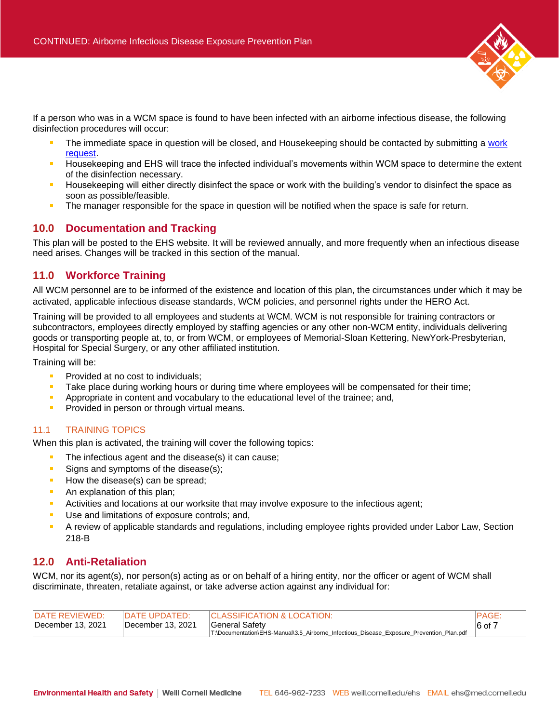

If a person who was in a WCM space is found to have been infected with an airborne infectious disease, the following disinfection procedures will occur:

- The immediate space in question will be closed, and Housekeeping should be contacted by submitting a [work](https://facilities.weill.cornell.edu/)  [request.](https://facilities.weill.cornell.edu/)
- Housekeeping and EHS will trace the infected individual's movements within WCM space to determine the extent of the disinfection necessary.
- Housekeeping will either directly disinfect the space or work with the building's vendor to disinfect the space as soon as possible/feasible.
- The manager responsible for the space in question will be notified when the space is safe for return.

# <span id="page-5-0"></span>**10.0 Documentation and Tracking**

This plan will be posted to the EHS website. It will be reviewed annually, and more frequently when an infectious disease need arises. Changes will be tracked in this section of the manual.

# <span id="page-5-1"></span>**11.0 Workforce Training**

All WCM personnel are to be informed of the existence and location of this plan, the circumstances under which it may be activated, applicable infectious disease standards, WCM policies, and personnel rights under the HERO Act.

Training will be provided to all employees and students at WCM. WCM is not responsible for training contractors or subcontractors, employees directly employed by staffing agencies or any other non-WCM entity, individuals delivering goods or transporting people at, to, or from WCM, or employees of Memorial-Sloan Kettering, NewYork-Presbyterian, Hospital for Special Surgery, or any other affiliated institution.

Training will be:

- $\mathbf{r}$ Provided at no cost to individuals;
- Take place during working hours or during time where employees will be compensated for their time;
- $\mathbf{r}$ Appropriate in content and vocabulary to the educational level of the trainee; and,
- Provided in person or through virtual means.

## <span id="page-5-2"></span>11.1 TRAINING TOPICS

When this plan is activated, the training will cover the following topics:

- The infectious agent and the disease(s) it can cause;
- ٠ Signs and symptoms of the disease(s);
- How the disease(s) can be spread;
- An explanation of this plan;
- Activities and locations at our worksite that may involve exposure to the infectious agent;  $\mathbf{r}$
- $\blacksquare$ Use and limitations of exposure controls; and,
- ò A review of applicable standards and regulations, including employee rights provided under Labor Law, Section 218-B

# <span id="page-5-3"></span>**12.0 Anti-Retaliation**

WCM, nor its agent(s), nor person(s) acting as or on behalf of a hiring entity, nor the officer or agent of WCM shall discriminate, threaten, retaliate against, or take adverse action against any individual for:

| <b>IDATE REVIEWED:</b> | <b>IDATE UPDATED:</b> | <b>ICLASSIFICATION &amp; LOCATION:</b>                                                   | <b>PAGE</b> |
|------------------------|-----------------------|------------------------------------------------------------------------------------------|-------------|
| December 13, 2021      | December 13, 2021     | General Safetv                                                                           | $ 6$ of 7   |
|                        |                       | T:\Documentation\EHS-Manual\3.5 Airborne Infectious Disease Exposure Prevention Plan.pdf |             |